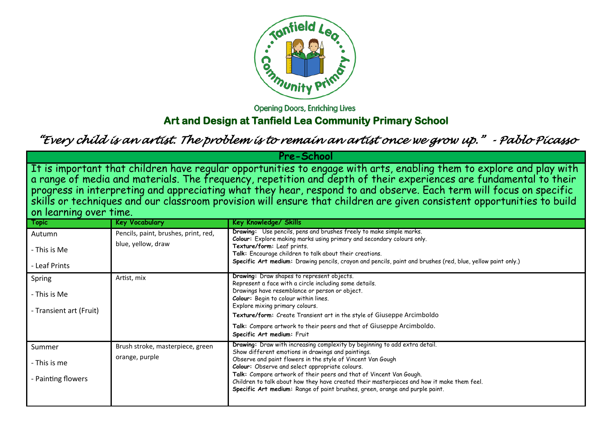

**Opening Doors, Enriching Lives** 

# **Art and Design at Tanfield Lea Community Primary School**

*"Every child is an artist. The problem is to remain an artist once we grow up." - Pablo Picasso* 

| <b>Pre-School</b>                                                                                                                                                                                                                                                                                                                                                                                                                                                                                        |                                      |                                                                                                                                                                                                                                                                                |  |
|----------------------------------------------------------------------------------------------------------------------------------------------------------------------------------------------------------------------------------------------------------------------------------------------------------------------------------------------------------------------------------------------------------------------------------------------------------------------------------------------------------|--------------------------------------|--------------------------------------------------------------------------------------------------------------------------------------------------------------------------------------------------------------------------------------------------------------------------------|--|
| It is important that children have regular opportunities to engage with arts, enabling them to explore and play with<br>a range of media and materials. The frequency, repetition and depth of their experiences are fundamental to their<br>progress in interpreting and appreciating what they hear, respond to and observe. Each term will focus on specific<br>skills or techniques and our classroom provision will ensure that children are given consistent opportuniti<br>on learning over time. |                                      |                                                                                                                                                                                                                                                                                |  |
| <b>Topic</b>                                                                                                                                                                                                                                                                                                                                                                                                                                                                                             | <b>Key Vocabulary</b>                | Key Knowledge/ Skills                                                                                                                                                                                                                                                          |  |
| Autumn                                                                                                                                                                                                                                                                                                                                                                                                                                                                                                   | Pencils, paint, brushes, print, red, | Drawing: Use pencils, pens and brushes freely to make simple marks.                                                                                                                                                                                                            |  |
| - This is Me<br>- Leaf Prints                                                                                                                                                                                                                                                                                                                                                                                                                                                                            | blue, yellow, draw                   | Colour: Explore making marks using primary and secondary colours only.<br>Texture/form: Leaf prints.<br>Talk: Encourage children to talk about their creations.<br>Specific Art medium: Drawing pencils, crayon and pencils, paint and brushes (red, blue, yellow paint only.) |  |
| Spring                                                                                                                                                                                                                                                                                                                                                                                                                                                                                                   | Artist, mix                          | Drawing: Draw shapes to represent objects.<br>Represent a face with a circle including some details.<br>Drawings have resemblance or person or object.                                                                                                                         |  |
| - This is Me                                                                                                                                                                                                                                                                                                                                                                                                                                                                                             |                                      | Colour: Begin to colour within lines.<br>Explore mixing primary colours.                                                                                                                                                                                                       |  |
| - Transient art (Fruit)                                                                                                                                                                                                                                                                                                                                                                                                                                                                                  |                                      | Texture/form: Create Transient art in the style of Giuseppe Arcimboldo                                                                                                                                                                                                         |  |
|                                                                                                                                                                                                                                                                                                                                                                                                                                                                                                          |                                      | Talk: Compare artwork to their peers and that of Giuseppe Arcimboldo.                                                                                                                                                                                                          |  |
|                                                                                                                                                                                                                                                                                                                                                                                                                                                                                                          |                                      | Specific Art medium: Fruit                                                                                                                                                                                                                                                     |  |
| Summer                                                                                                                                                                                                                                                                                                                                                                                                                                                                                                   | Brush stroke, masterpiece, green     | Drawing: Draw with increasing complexity by beginning to add extra detail.<br>Show different emotions in drawings and paintings.                                                                                                                                               |  |
| - This is me                                                                                                                                                                                                                                                                                                                                                                                                                                                                                             | orange, purple                       | Observe and paint flowers in the style of Vincent Van Gough<br>Colour: Observe and select appropriate colours.                                                                                                                                                                 |  |
| - Painting flowers                                                                                                                                                                                                                                                                                                                                                                                                                                                                                       |                                      | Talk: Compare artwork of their peers and that of Vincent Van Gough.<br>Children to talk about how they have created their masterpieces and how it make them feel.<br>Specific Art medium: Range of paint brushes, green, orange and purple paint.                              |  |
|                                                                                                                                                                                                                                                                                                                                                                                                                                                                                                          |                                      |                                                                                                                                                                                                                                                                                |  |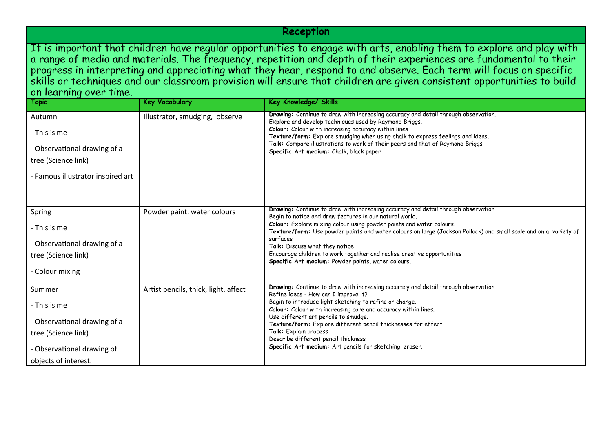### **Reception**

It is important that children have regular opportunities to engage with arts, enabling them to explore and play with a range of media and materials. The frequency, repetition and depth of their experiences are fundamental to their progress in interpreting and appreciating what they hear, respond to and observe. Each term will focus on specific skills or techniques and our classroom provision will ensure that children are given consistent opportunities to build on learning over time.

| <b>Topic</b>                                                                                                                        | <b>Key Vocabulary</b>                | Key Knowledge/ Skills                                                                                                                                                                                                                                                                                                                                                                                                                                                                                                   |
|-------------------------------------------------------------------------------------------------------------------------------------|--------------------------------------|-------------------------------------------------------------------------------------------------------------------------------------------------------------------------------------------------------------------------------------------------------------------------------------------------------------------------------------------------------------------------------------------------------------------------------------------------------------------------------------------------------------------------|
| Autumn<br>- This is me<br>- Observational drawing of a<br>tree (Science link)<br>- Famous illustrator inspired art                  | Illustrator, smudging, observe       | Drawing: Continue to draw with increasing accuracy and detail through observation.<br>Explore and develop techniques used by Raymond Briggs.<br>Colour: Colour with increasing accuracy within lines.<br>Texture/form: Explore smudging when using chalk to express feelings and ideas.<br>Talk: Compare illustrations to work of their peers and that of Raymond Briggs<br>Specific Art medium: Chalk, black paper                                                                                                     |
| Spring<br>- This is me<br>- Observational drawing of a<br>tree (Science link)<br>- Colour mixing                                    | Powder paint, water colours          | Drawing: Continue to draw with increasing accuracy and detail through observation.<br>Begin to notice and draw features in our natural world.<br>Colour: Explore mixing colour using powder paints and water colours.<br>Texture/form: Use powder paints and water colours on large (Jackson Pollock) and small scale and on a variety of<br>surfaces<br>Talk: Discuss what they notice<br>Encourage children to work together and realise creative opportunities<br>Specific Art medium: Powder paints, water colours. |
| Summer<br>- This is me<br>- Observational drawing of a<br>tree (Science link)<br>- Observational drawing of<br>objects of interest. | Artist pencils, thick, light, affect | Drawing: Continue to draw with increasing accuracy and detail through observation.<br>Refine ideas - How can I improve it?<br>Begin to introduce light sketching to refine or change.<br>Colour: Colour with increasing care and accuracy within lines.<br>Use different art pencils to smudge.<br>Texture/form: Explore different pencil thicknesses for effect.<br>Talk: Explain process<br>Describe different pencil thickness<br>Specific Art medium: Art pencils for sketching, eraser.                            |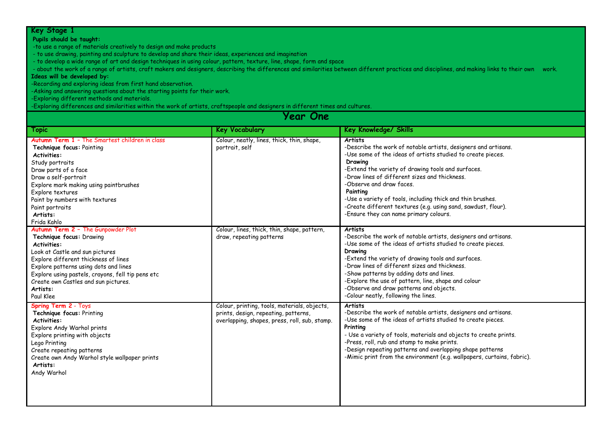#### **Pupils should be taught:**

-to use a range of materials creatively to design and make products

- to use drawing, painting and sculpture to develop and share their ideas, experiences and imagination

- to develop a wide range of art and design techniques in using colour, pattern, texture, line, shape, form and space

- about the work of a range of artists, craft makers and designers, describing the differences and similarities between different practices and disciplines, and making links to their own work.

#### **Ideas will be developed by:**

-Recording and exploring ideas from first hand observation.

-Asking and answering questions about the starting points for their work.

-Exploring different methods and materials.

-Exploring differences and similarities within the work of artists, craftspeople and designers in different times and cultures.

| Year One                                                                                                                                                                                                                                                                                                                       |                                                                                                                                       |                                                                                                                                                                                                                                                                                                                                                                                                                                                                                    |  |
|--------------------------------------------------------------------------------------------------------------------------------------------------------------------------------------------------------------------------------------------------------------------------------------------------------------------------------|---------------------------------------------------------------------------------------------------------------------------------------|------------------------------------------------------------------------------------------------------------------------------------------------------------------------------------------------------------------------------------------------------------------------------------------------------------------------------------------------------------------------------------------------------------------------------------------------------------------------------------|--|
| Topic                                                                                                                                                                                                                                                                                                                          | <b>Key Vocabulary</b>                                                                                                                 | <b>Key Knowledge/ Skills</b>                                                                                                                                                                                                                                                                                                                                                                                                                                                       |  |
| <b>Autumn Term 1 - The Smartest children in class</b><br>Technique focus: Painting<br><b>Activities:</b><br>Study portraits<br>Draw parts of a face<br>Draw a self-portrait<br>Explore mark making using paintbrushes<br>Explore textures<br>Paint by numbers with textures<br>Paint portraits<br>Artists:<br>Frida Kahlo      | Colour, neatly, lines, thick, thin, shape,<br>portrait, self                                                                          | <b>Artists</b><br>-Describe the work of notable artists, designers and artisans.<br>-Use some of the ideas of artists studied to create pieces.<br>Drawing<br>-Extend the variety of drawing tools and surfaces.<br>-Draw lines of different sizes and thickness.<br>-Observe and draw faces.<br>Painting<br>-Use a variety of tools, including thick and thin brushes.<br>-Create different textures (e.g. using sand, sawdust, flour).<br>-Ensure they can name primary colours. |  |
| Autumn Term 2 - The Gunpowder Plot<br>Technique focus: Drawing<br><b>Activities:</b><br>Look at Castle and sun pictures<br>Explore different thickness of lines<br>Explore patterns using dots and lines<br>Explore using pastels, crayons, fell tip pens etc<br>Create own Castles and sun pictures.<br>Artists:<br>Paul Klee | Colour, lines, thick, thin, shape, pattern,<br>draw, repeating patterns                                                               | <b>Artists</b><br>-Describe the work of notable artists, designers and artisans.<br>-Use some of the ideas of artists studied to create pieces.<br>Drawing<br>-Extend the variety of drawing tools and surfaces.<br>-Draw lines of different sizes and thickness.<br>-Show patterns by adding dots and lines.<br>-Explore the use of pattern, line, shape and colour<br>-Observe and draw patterns and objects.<br>-Colour neatly, following the lines.                            |  |
| <b>Spring Term 2 - Toys</b><br>Technique focus: Printing<br><b>Activities:</b><br>Explore Andy Warhol prints<br>Explore printing with objects<br>Lego Printing<br>Create repeating patterns<br>Create own Andy Warhol style wallpaper prints<br>Artists:<br>Andy Warhol                                                        | Colour, printing, tools, materials, objects,<br>prints, design, repeating, patterns,<br>overlapping, shapes, press, roll, sub, stamp. | <b>Artists</b><br>-Describe the work of notable artists, designers and artisans.<br>-Use some of the ideas of artists studied to create pieces.<br>Printing<br>- Use a variety of tools, materials and objects to create prints.<br>-Press, roll, rub and stamp to make prints.<br>-Design repeating patterns and overlapping shape patterns<br>-Mimic print from the environment (e.g. wallpapers, curtains, fabric).                                                             |  |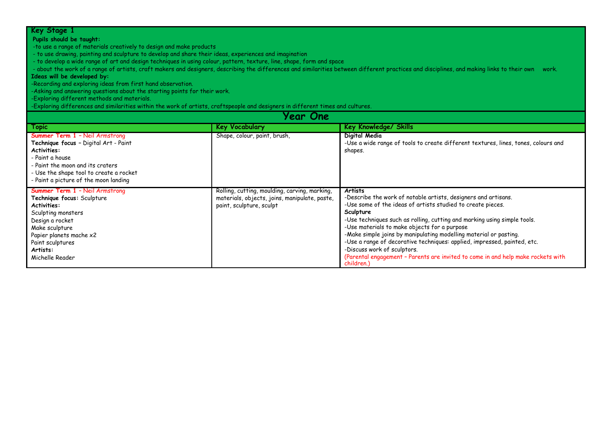#### **Pupils should be taught:**

-to use a range of materials creatively to design and make products

- to use drawing, painting and sculpture to develop and share their ideas, experiences and imagination

- to develop a wide range of art and design techniques in using colour, pattern, texture, line, shape, form and space

- about the work of a range of artists, craft makers and designers, describing the differences and similarities between different practices and disciplines, and making links to their own work.

#### **Ideas will be developed by:**

-Recording and exploring ideas from first hand observation.

-Asking and answering questions about the starting points for their work.

-Exploring different methods and materials.

-Exploring differences and similarities within the work of artists, craftspeople and designers in different times and cultures.

| Year One                                                                                                                                                                                                                                 |                                                                                                                            |                                                                                                                                                                                                                                                                                                                                                                                                                                                                                                                                                                            |  |
|------------------------------------------------------------------------------------------------------------------------------------------------------------------------------------------------------------------------------------------|----------------------------------------------------------------------------------------------------------------------------|----------------------------------------------------------------------------------------------------------------------------------------------------------------------------------------------------------------------------------------------------------------------------------------------------------------------------------------------------------------------------------------------------------------------------------------------------------------------------------------------------------------------------------------------------------------------------|--|
| Topic                                                                                                                                                                                                                                    | <b>Key Vocabulary</b>                                                                                                      | <b>Key Knowledge/ Skills</b>                                                                                                                                                                                                                                                                                                                                                                                                                                                                                                                                               |  |
| <b>Summer Term 1 - Neil Armstrong</b><br>Technique focus - Digital Art - Paint<br>Activities:<br>- Paint a house<br>- Paint the moon and its craters<br>- Use the shape tool to create a rocket<br>- Paint a picture of the moon landing | Shape, colour, paint, brush,                                                                                               | Digital Media<br>-Use a wide range of tools to create different textures, lines, tones, colours and<br>shapes.                                                                                                                                                                                                                                                                                                                                                                                                                                                             |  |
| <b>Summer Term 1 - Neil Armstrong</b><br>Technique focus: Sculpture<br>Activities:<br>Sculpting monsters<br>Design a rocket<br>Make sculpture<br>Papier planets mache x2<br>Paint sculptures<br>Artists:<br>Michelle Reader              | Rolling, cutting, moulding, carving, marking,<br>materials, objects, joins, manipulate, paste,<br>paint, sculpture, sculpt | <b>Artists</b><br>-Describe the work of notable artists, designers and artisans.<br>-Use some of the ideas of artists studied to create pieces.<br>Sculpture<br>-Use techniques such as rolling, cutting and marking using simple tools.<br>-Use materials to make objects for a purpose<br>-Make simple joins by manipulating modelling material or pasting.<br>-Use a range of decorative techniques: applied, impressed, painted, etc.<br>-Discuss work of sculptors.<br>(Parental engagement - Parents are invited to come in and help make rockets with<br>children.) |  |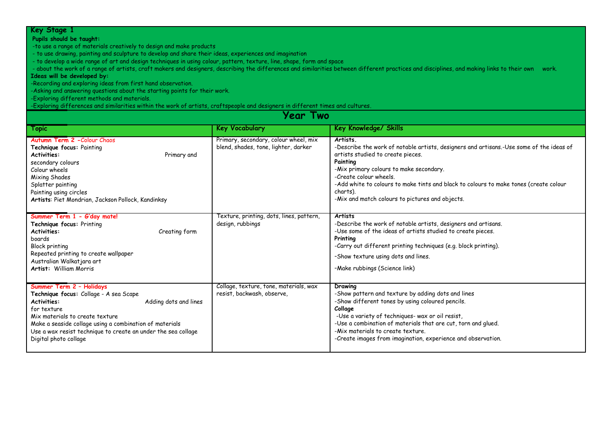#### **Pupils should be taught:**

-to use a range of materials creatively to design and make products

- to use drawing, painting and sculpture to develop and share their ideas, experiences and imagination

- to develop a wide range of art and design techniques in using colour, pattern, texture, line, shape, form and space

- about the work of a range of artists, craft makers and designers, describing the differences and similarities between different practices and disciplines, and making links to their own work.

### **Ideas will be developed by:**

-Recording and exploring ideas from first hand observation.

-Asking and answering questions about the starting points for their work.

-Exploring different methods and materials.

-Exploring differences and similarities within the work of artists, craftspeople and designers in different times and cultures.

| Year Two                                                                                                                                                                                                                                                                                                                 |                                                                               |                                                                                                                                                                                                                                                                                                                                                                                         |  |
|--------------------------------------------------------------------------------------------------------------------------------------------------------------------------------------------------------------------------------------------------------------------------------------------------------------------------|-------------------------------------------------------------------------------|-----------------------------------------------------------------------------------------------------------------------------------------------------------------------------------------------------------------------------------------------------------------------------------------------------------------------------------------------------------------------------------------|--|
| <b>Topic</b>                                                                                                                                                                                                                                                                                                             | <b>Key Vocabulary</b>                                                         | Key Knowledge/ Skills                                                                                                                                                                                                                                                                                                                                                                   |  |
| Autumn Term 2 - Colour Chaos<br>Technique focus: Painting<br><b>Activities:</b><br>Primary and<br>secondary colours<br>Colour wheels<br>Mixing Shades<br>Splatter painting<br>Painting using circles<br>Artists: Piet Mondrian, Jackson Pollock, Kandinksy                                                               | Primary, secondary, colour wheel, mix<br>blend, shades, tone, lighter, darker | <b>Artists</b><br>-Describe the work of notable artists, designers and artisans.-Use some of the ideas of<br>artists studied to create pieces.<br>Painting<br>-Mix primary colours to make secondary.<br>-Create colour wheels.<br>-Add white to colours to make tints and black to colours to make tones (create colour<br>charts).<br>-Mix and match colours to pictures and objects. |  |
| Summer Term 1 - G'day mate!<br>Technique focus: Printing<br>Creating form<br><b>Activities:</b><br>boards<br><b>Block printing</b><br>Repeated printing to create wallpaper<br>Australian Walkatjara art<br>Artist: William Morris                                                                                       | Texture, printing, dots, lines, pattern,<br>design, rubbings                  | <b>Artists</b><br>-Describe the work of notable artists, designers and artisans.<br>-Use some of the ideas of artists studied to create pieces.<br>Printing<br>-Carry out different printing techniques (e.g. block printing).<br>-Show texture using dots and lines.<br>-Make rubbings (Science link)                                                                                  |  |
| Summer Term 2 - Holidays<br>Technique focus: Collage - A sea Scape<br>Adding dots and lines<br><b>Activities:</b><br>for texture<br>Mix materials to create texture<br>Make a seaside collage using a combination of materials<br>Use a wax resist technique to create an under the sea collage<br>Digital photo collage | Collage, texture, tone, materials, wax<br>resist, backwash, observe,          | Drawing<br>-Show pattern and texture by adding dots and lines<br>-Show different tones by using coloured pencils.<br>Collage<br>-Use a variety of techniques- wax or oil resist,<br>-Use a combination of materials that are cut, torn and glued.<br>-Mix materials to create texture.<br>-Create images from imagination, experience and observation.                                  |  |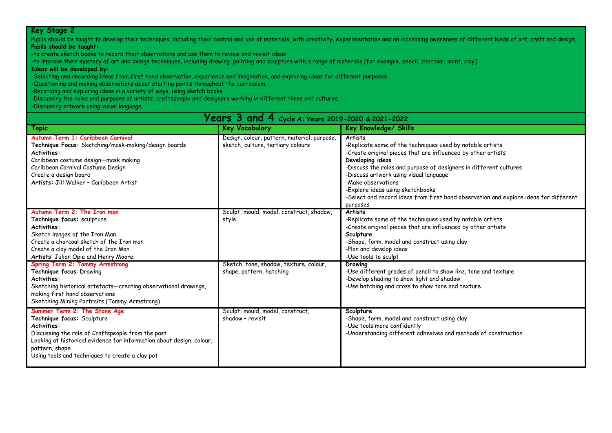Pupils should be taught to develop their techniques, including their control and use of materials, with creativity, experimentation and an increasing awareness of different kinds of art, craft and design. **Pupils should be taught:**

-to create sketch books to record their observations and use them to review and revisit ideas

-to improve their mastery of art and design techniques, including drawing, painting and sculpture with a range of materials [for example, pencil, charcoal, paint, clay]

**Ideas will be developed by:**

-Selecting and recording ideas from first hand observation, experience and imagination, and exploring ideas for different purposes.

-Questioning and making observations about starting points throughout the curriculum.

-Recording and exploring ideas in a variety of ways, using sketch books

-Discussing the roles and purposes of artists, craftspeople and designers working in different times and cultures.

-Discussing artwork using visual language.

| <b>Years 3 and 4</b> cycle A: Years 2019-2020 & 2021-2022                                                                                                                                                                                                                          |                                                                                  |                                                                                                                                                                                                                                                                                                                                                                                                                                              |  |
|------------------------------------------------------------------------------------------------------------------------------------------------------------------------------------------------------------------------------------------------------------------------------------|----------------------------------------------------------------------------------|----------------------------------------------------------------------------------------------------------------------------------------------------------------------------------------------------------------------------------------------------------------------------------------------------------------------------------------------------------------------------------------------------------------------------------------------|--|
| Topic                                                                                                                                                                                                                                                                              | <b>Key Vocabulary</b>                                                            | <b>Key Knowledge/ Skills</b>                                                                                                                                                                                                                                                                                                                                                                                                                 |  |
| Autumn Term 1: Caribbean Carnival<br>Technique Focus: Sketching/mask-making/design boards<br><b>Activities:</b><br>Caribbean costume design-mask making<br>Caribbean Carnival Costume Design<br>Create a design board<br>Artists: Jill Walker - Caribbean Artist                   | Design, colour, pattern, material, purpose,<br>sketch, culture, tertiary colours | <b>Artists</b><br>-Replicate some of the techniques used by notable artists<br>-Create original pieces that are influenced by other artists<br>Developing ideas<br>-Discuss the roles and purpose of designers in different cultures<br>-Discuss artwork using visual language<br>-Make observations<br>-Explore ideas using sketchbooks<br>-Select and record ideas from first hand observation and explore ideas for different<br>purposes |  |
| Autumn Term 2: The Iron man<br>Technique focus: sculpture<br><b>Activities:</b><br>Sketch images of the Iron Man<br>Create a charcoal sketch of the Iron man<br>Create a clay model of the Iron Man<br>Artists: Julian Opie and Henry Moore                                        | Sculpt, mould, model, construct, shadow,<br>style                                | <b>Artists</b><br>-Replicate some of the techniques used by notable artists<br>-Create original pieces that are influenced by other artists<br>Sculpture<br>-Shape, form, model and construct using clay<br>-Plan and develop ideas<br>-Use tools to sculpt                                                                                                                                                                                  |  |
| Spring Term 2: Tommy Armstrong<br>Technique focus: Drawing<br><b>Activities:</b><br>Sketching historical artefacts-creating observational drawings,<br>making first hand observations<br>Sketching Mining Portraits (Tommy Armstrong)                                              | Sketch, tone, shadow, texture, colour,<br>shape, pattern, hatching               | Drawing<br>-Use different grades of pencil to show line, tone and texture<br>-Develop shading to show light and shadow<br>-Use hatching and cross to show tone and texture                                                                                                                                                                                                                                                                   |  |
| Summer Term 2: The Stone Age<br>Technique focus: Sculpture<br><b>Activities:</b><br>Discussing the role of Craftspeople from the past<br>Looking at historical evidence for information about design, colour,<br>pattern, shape<br>Using tools and techniques to create a clay pot | Sculpt, mould, model, construct,<br>shadow - revisit                             | Sculpture<br>-Shape, form, model and construct using clay<br>-Use tools more confidently<br>-Understanding different adhesives and methods of construction                                                                                                                                                                                                                                                                                   |  |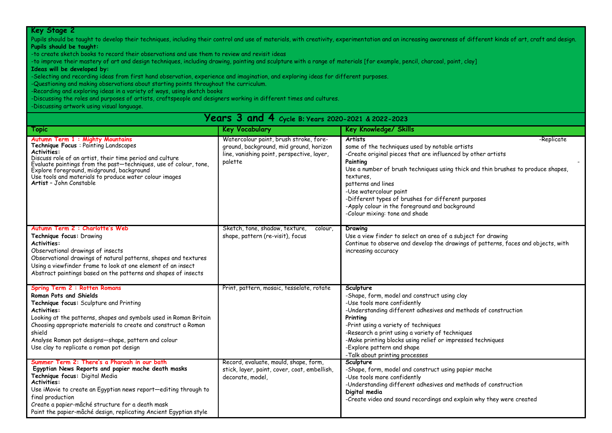Pupils should be taught to develop their techniques, including their control and use of materials, with creativity, experimentation and an increasing awareness of different kinds of art, craft and design. **Pupils should be taught:**

-to create sketch books to record their observations and use them to review and revisit ideas

-to improve their mastery of art and design techniques, including drawing, painting and sculpture with a range of materials [for example, pencil, charcoal, paint, clay]

**Ideas will be developed by:**

-Selecting and recording ideas from first hand observation, experience and imagination, and exploring ideas for different purposes.

-Questioning and making observations about starting points throughout the curriculum.

-Recording and exploring ideas in a variety of ways, using sketch books

-Discussing the roles and purposes of artists, craftspeople and designers working in different times and cultures.

-Discussing artwork using visual language.

# **Years 3 and 4 Cycle B: Years 2020-2021 & <sup>2022</sup>-<sup>2023</sup>**

| Topic                                                                                                                                                                                                                                                                                                                                                                      | <b>Key Vocabulary</b>                                                                                                                      | Key Knowledge/ Skills                                                                                                                                                                                                                                                                                                                                                                                                                                 |
|----------------------------------------------------------------------------------------------------------------------------------------------------------------------------------------------------------------------------------------------------------------------------------------------------------------------------------------------------------------------------|--------------------------------------------------------------------------------------------------------------------------------------------|-------------------------------------------------------------------------------------------------------------------------------------------------------------------------------------------------------------------------------------------------------------------------------------------------------------------------------------------------------------------------------------------------------------------------------------------------------|
| Autumn Term 1: Mighty Mountains<br><b>Technique Focus: Painting Landscapes</b><br><b>Activities:</b><br>Discuss role of an artist, their time period and culture<br>Evaluate paintings from the past—techniques, use of colour, tone,<br>Explore foreground, midground, background<br>Use tools and materials to produce water colour images<br>Artist - John Constable    | Watercolour paint, brush stroke, fore-<br>ground, background, mid ground, horizon<br>line, vanishing point, perspective, layer,<br>palette | <b>Artists</b><br>-Replicate<br>some of the techniques used by notable artists<br>-Create original pieces that are influenced by other artists<br>Painting<br>Use a number of brush techniques using thick and thin brushes to produce shapes,<br>textures.<br>patterns and lines<br>-Use watercolour paint<br>-Different types of brushes for different purposes<br>-Apply colour in the foreground and background<br>-Colour mixing: tone and shade |
| Autumn Term 2: Charlotte's Web<br>Technique focus: Drawing<br><b>Activities:</b><br>Observational drawings of insects<br>Observational drawings of natural patterns, shapes and textures<br>Using a viewfinder frame to look at one element of an insect<br>Abstract paintings based on the patterns and shapes of insects                                                 | Sketch, tone, shadow, texture,<br>colour,<br>shape, pattern (re-visit), focus                                                              | Drawing<br>Use a view finder to select an area of a subject for drawing<br>Continue to observe and develop the drawings of patterns, faces and objects, with<br>increasing accuracy                                                                                                                                                                                                                                                                   |
| Spring Term 2 : Rotten Romans<br>Roman Pots and Shields<br>Technique focus: Sculpture and Printing<br>Activities:<br>Looking at the patterns, shapes and symbols used in Roman Britain<br>Choosing appropriate materials to create and construct a Roman<br>shield<br>Analyse Roman pot designs-shape, pattern and colour<br>Use clay to replicate a roman pot design      | Print, pattern, mosaic, tesselate, rotate                                                                                                  | Sculpture<br>-Shape, form, model and construct using clay<br>-Use tools more confidently<br>-Understanding different adhesives and methods of construction<br>Printing<br>-Print using a variety of techniques<br>-Research a print using a variety of techniques<br>-Make printing blocks using relief or impressed techniques<br>-Explore pattern and shape<br>-Talk about printing processes                                                       |
| Summer Term 2: There's a Pharoah in our bath<br>Egyptian News Reports and papier mache death masks<br>Technique focus: Digital Media<br><b>Activities:</b><br>Use iMovie to create an Egyptian news report-editing through to<br>final production<br>Create a papier-mâché structure for a death mask<br>Paint the papier-mâché design, replicating Ancient Egyptian style | Record, evaluate, mould, shape, form,<br>stick, layer, paint, cover, coat, embellish,<br>decorate, model,                                  | Sculpture<br>-Shape, form, model and construct using papier mache<br>-Use tools more confidently<br>-Understanding different adhesives and methods of construction<br>Digital media<br>-Create video and sound recordings and explain why they were created                                                                                                                                                                                           |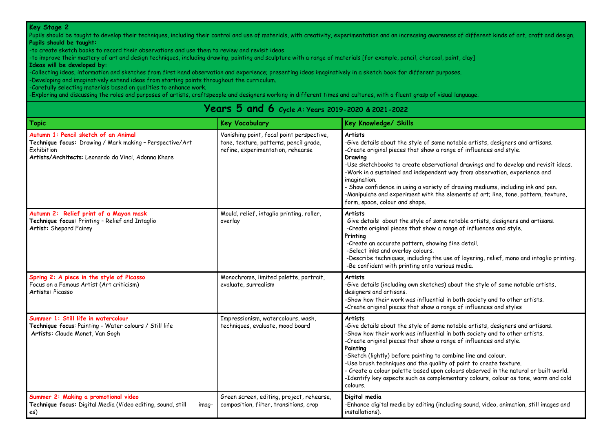Pupils should be taught to develop their techniques, including their control and use of materials, with creativity, experimentation and an increasing awareness of different kinds of art, craft and design. **Pupils should be taught:**

-to create sketch books to record their observations and use them to review and revisit ideas

-to improve their mastery of art and design techniques, including drawing, painting and sculpture with a range of materials [for example, pencil, charcoal, paint, clay]

#### **Ideas will be developed by:**

-Collecting ideas, information and sketches from first hand observation and experience; presenting ideas imaginatively in a sketch book for different purposes.

-Developing and imaginatively extend ideas from starting points throughout the curriculum.

-Carefully selecting materials based on qualities to enhance work.

-Exploring and discussing the roles and purposes of artists, craftspeople and designers working in different times and cultures, with a fluent grasp of visual language.

#### **Topic Key Vocabulary Key Knowledge/ Skills Autumn 1: Pencil sketch of an Animal Technique focus:** Drawing / Mark making – Perspective/Art Exhibition **Artists/Architects**: Leonardo da Vinci, Adonna Khare Vanishing point, focal point perspective, tone, texture, patterns, pencil grade, refine, experimentation, rehearse **Artists** -Give details about the style of some notable artists, designers and artisans. -Create original pieces that show a range of influences and style. **Drawing** -Use sketchbooks to create observational drawings and to develop and revisit ideas. -Work in a sustained and independent way from observation, experience and imagination. - Show confidence in using a variety of drawing mediums, including ink and pen. -Manipulate and experiment with the elements of art; line, tone, pattern, texture, form, space, colour and shape. **Autumn 2: Relief print of a Mayan mask Technique focus:** Printing – Relief and Intaglio **Artist:** Shepard Fairey Mould, relief, intaglio printing, roller, overlay **Artists** Give details about the style of some notable artists, designers and artisans. -Create original pieces that show a range of influences and style. **Printing** -Create an accurate pattern, showing fine detail. -Select inks and overlay colours. -Describe techniques, including the use of layering, relief, mono and intaglio printing. -Be confident with printing onto various media. **Spring 2: A piece in the style of Picasso** Focus on a Famous Artist (Art criticism) **Artists:** Picasso Monochrome, limited palette, portrait, evaluate, surrealism **Artists** -Give details (including own sketches) about the style of some notable artists, designers and artisans. -Show how their work was influential in both society and to other artists. -Create original pieces that show a range of influences and styles **Summer 1: Still life in watercolour Technique focus**: Painting - Water colours / Still life **Artists:** Claude Monet, Van Gogh Impressionism, watercolours, wash, techniques, evaluate, mood board **Artists** -Give details about the style of some notable artists, designers and artisans. -Show how their work was influential in both society and to other artists. -Create original pieces that show a range of influences and style. **Painting** -Sketch (lightly) before painting to combine line and colour. -Use brush techniques and the quality of paint to create texture. - Create a colour palette based upon colours observed in the natural or built world. -Identify key aspects such as complementary colours, colour as tone, warm and cold colours. **Summer 2: Making a promotional video** Technique focus: Digital Media (Video editing, sound, still images) Green screen, editing, project, rehearse, composition, filter, transitions, crop **Digital media** -Enhance digital media by editing (including sound, video, animation, still images and installations).

### **Years 5 and 6 Cycle A: Years 2019-2020 & <sup>2021</sup>-<sup>2022</sup>**